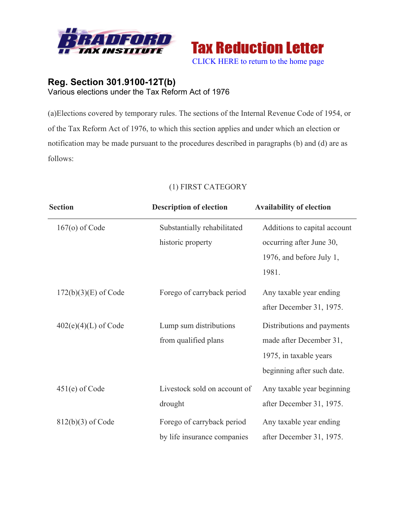



## **Reg. Section 301.9100-12T(b)** Various elections under the Tax Reform Act of 1976

(a)Elections covered by temporary rules. The sections of the Internal Revenue Code of 1954, or of the Tax Reform Act of 1976, to which this section applies and under which an election or notification may be made pursuant to the procedures described in paragraphs (b) and (d) are as follows:

| <b>Section</b>         | <b>Description of election</b> | <b>Availability of election</b> |
|------------------------|--------------------------------|---------------------------------|
| $167(o)$ of Code       | Substantially rehabilitated    | Additions to capital account    |
|                        | historic property              | occurring after June 30,        |
|                        |                                | 1976, and before July 1,        |
|                        |                                | 1981.                           |
| $172(b)(3)(E)$ of Code | Forego of carryback period     | Any taxable year ending         |
|                        |                                | after December 31, 1975.        |
| $402(e)(4)(L)$ of Code | Lump sum distributions         | Distributions and payments      |
|                        | from qualified plans           | made after December 31,         |
|                        |                                | 1975, in taxable years          |
|                        |                                | beginning after such date.      |
| $451(e)$ of Code       | Livestock sold on account of   | Any taxable year beginning      |
|                        | drought                        | after December 31, 1975.        |
| $812(b)(3)$ of Code    | Forego of carryback period     | Any taxable year ending         |
|                        | by life insurance companies    | after December 31, 1975.        |

## (1) FIRST CATEGORY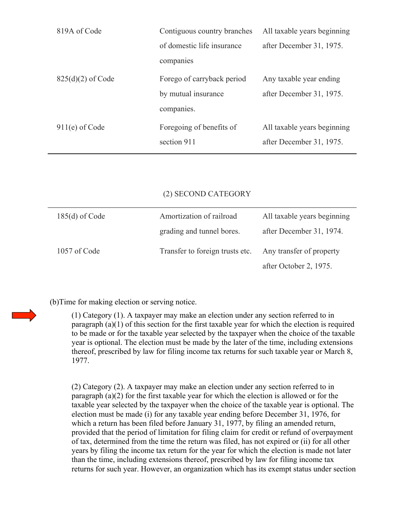| 819A of Code        | Contiguous country branches | All taxable years beginning |
|---------------------|-----------------------------|-----------------------------|
|                     | of domestic life insurance  | after December 31, 1975.    |
|                     | companies                   |                             |
| $825(d)(2)$ of Code | Forego of carryback period  | Any taxable year ending     |
|                     | by mutual insurance         | after December 31, 1975.    |
|                     | companies.                  |                             |
| $911(e)$ of Code    | Foregoing of benefits of    | All taxable years beginning |
|                     | section 911                 | after December 31, 1975.    |

## (2) SECOND CATEGORY

| $185(d)$ of Code | Amortization of railroad        | All taxable years beginning |
|------------------|---------------------------------|-----------------------------|
|                  | grading and tunnel bores.       | after December 31, 1974.    |
| 1057 of Code     | Transfer to foreign trusts etc. | Any transfer of property    |
|                  |                                 | after October 2, 1975.      |

(b)Time for making election or serving notice.

(1) Category (1). A taxpayer may make an election under any section referred to in paragraph (a)(1) of this section for the first taxable year for which the election is required to be made or for the taxable year selected by the taxpayer when the choice of the taxable year is optional. The election must be made by the later of the time, including extensions thereof, prescribed by law for filing income tax returns for such taxable year or March 8, 1977.

(2) Category (2). A taxpayer may make an election under any section referred to in paragraph (a)(2) for the first taxable year for which the election is allowed or for the taxable year selected by the taxpayer when the choice of the taxable year is optional. The election must be made (i) for any taxable year ending before December 31, 1976, for which a return has been filed before January 31, 1977, by filing an amended return, provided that the period of limitation for filing claim for credit or refund of overpayment of tax, determined from the time the return was filed, has not expired or (ii) for all other years by filing the income tax return for the year for which the election is made not later than the time, including extensions thereof, prescribed by law for filing income tax returns for such year. However, an organization which has its exempt status under section